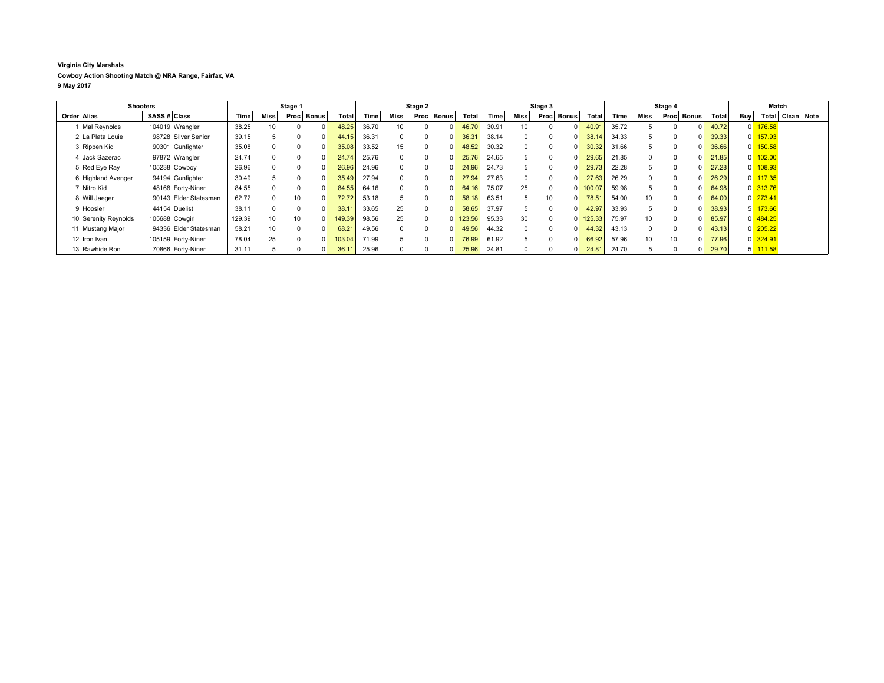## **Virginia City Marshals Cowboy Action Shooting Match @ NRA Range, Fairfax, VA 9 May 2017**

| <b>Shooters</b>      |              | Stage 1               |             |             |          | Stage 2      |                    |       |          | Stage 3      |                |              |       | Stage 4  |      |          |                   | Match |          |    |            |              |     |                       |                  |  |
|----------------------|--------------|-----------------------|-------------|-------------|----------|--------------|--------------------|-------|----------|--------------|----------------|--------------|-------|----------|------|----------|-------------------|-------|----------|----|------------|--------------|-----|-----------------------|------------------|--|
| Order Alias          | SASS # Class |                       | <b>Time</b> | <b>Miss</b> | Proc     | <b>Bonus</b> | Total              | Time  | Miss l   | Proc         | Bonus          | <b>Total</b> | Time  | Miss     | Proc | Bonus    | Total             | Time  | Miss     |    | Proc Bonus | <b>Total</b> | Buy |                       | Total Clean Note |  |
| Mal Reynolds         |              | 104019 Wrangler       | 38.25       |             |          |              | 48.25              | 36.70 | 10       | <sup>n</sup> | $\Omega$       | 46.70        | 30.91 | 10       |      |          | 40.9 <sup>°</sup> | 35.72 |          |    |            | 40.72        |     | $0$ 176.58            |                  |  |
| 2 La Plata Louie     |              | 98728 Silver Senior   | 39.15       |             |          |              | 44.15              | 36.31 | $\Omega$ | $\Omega$     | $\mathbf{0}$   | 36.31        | 38.14 | $\Omega$ |      | $\Omega$ | 38.14             | 34.33 | 5        |    |            | 39.33        |     | $0$ 157.93            |                  |  |
| 3 Rippen Kid         |              | 90301 Gunfighter      | 35.08       |             |          |              | 35.08              | 33.52 | 15       | $\Omega$     |                | 48.52        | 30.32 | $\Omega$ |      | $\Omega$ | 30.32             | 31.66 | 5        |    |            | 36.66        |     | $0$ 150.58            |                  |  |
| 4 Jack Sazerac       |              | 97872 Wrangler        | 24.74       |             | $\Omega$ |              | 24.74 <sub>1</sub> | 25.76 | $\Omega$ | $\Omega$     | $\Omega$       | 25.76        | 24.65 | b.       |      | $\Omega$ | 29.65             | 21.85 | $\Omega$ |    | 0          | 21.85        |     | $0$ 102.00            |                  |  |
| 5 Red Eye Ray        |              | 105238 Cowboy         | 26.96       |             | $\Omega$ |              | 26.96              | 24.96 | $\Omega$ | $\Omega$     | $\Omega$       | 24.96        | 24.73 | 5        |      | $\Omega$ | 29.73             | 22.28 | 5        |    |            | 27.28        |     | $0$ 108.93            |                  |  |
| 6 Highland Avenger   |              | 94194 Gunfighter      | 30.49       |             | $\Omega$ |              | 35.49              | 27.94 |          | $\Omega$     | $\Omega$       | 27.94        | 27.63 | $\Omega$ |      | $\Omega$ | 27.63             | 26.29 | $\Omega$ |    |            | 26.29        |     | 0 117.35              |                  |  |
| 7 Nitro Kid          |              | 48168 Forty-Niner     | 84.55       |             | $\Omega$ |              | 84.55              | 64.16 | $\Omega$ | $\Omega$     | $\Omega$       | 64.16        | 75.07 | 25       |      | $\Omega$ | 100.07            | 59.98 | 5        |    |            | 64.98        |     | $0$ 313.76            |                  |  |
| 8 Will Jaeger        |              | 90143 Elder Statesman | 62.72       |             | 10       | $\Omega$     | 72.72              | 53.18 |          | $\Omega$     | $\overline{0}$ | 58.18        | 63.51 | 5        | 10   | $\Omega$ | $78.5^{\circ}$    | 54.00 | 10       |    |            | 64.00        |     | $0$ 273.41            |                  |  |
| 9 Hoosier            |              | 44154 Duelist         | 38.1'       |             |          |              | 38.1               | 33.65 | 25       | $\Omega$     | $\Omega$       | 58.65        | 37.97 | 5        |      | $\Omega$ | 42.97             | 33.93 | 5        |    |            | 38.93        |     | $5 \overline{173.66}$ |                  |  |
| 10 Serenity Reynolds |              | 105688 Cowgirl        | 129.39      | 10          | 10       | $\Omega$     | 149.39             | 98.56 | 25       | $\Omega$     |                | $0$ 123.56   | 95.33 | 30       |      | $\Omega$ | 125.33            | 75.97 | 10       |    |            | 85.97        |     | 0 484.25              |                  |  |
| 11 Mustang Major     |              | 94336 Elder Statesman | 58.21       | 10          | $\Omega$ |              | 68.2               | 49.56 | $\Omega$ | $\Omega$     | $\Omega$       | 49.56        | 44.32 | $\Omega$ |      | $\Omega$ | 44.32             | 43.13 | $\Omega$ |    |            | 43.13        |     | $0$ 205.22            |                  |  |
| 12 Iron Ivan         |              | 105159 Forty-Niner    | 78.04       | 25          |          |              | 103.04             | 71.99 | 5        | <sup>n</sup> | $\Omega$       | 76.99        | 61.92 | b.       |      | $\Omega$ | 66.92             | 57.96 | 10       | 10 |            | 77.96        |     | $0$ 324.91            |                  |  |
| 13 Rawhide Ron       |              | 70866 Forty-Niner     | 31.1'       |             |          |              | 36.1               | 25.96 | $\Omega$ | $\Omega$     | $\overline{0}$ | 25.96        | 24.81 | $\Omega$ |      | $\Omega$ | $24.8^{\circ}$    | 24.70 | 5        |    |            | 29.70        | 5   | 111.58                |                  |  |